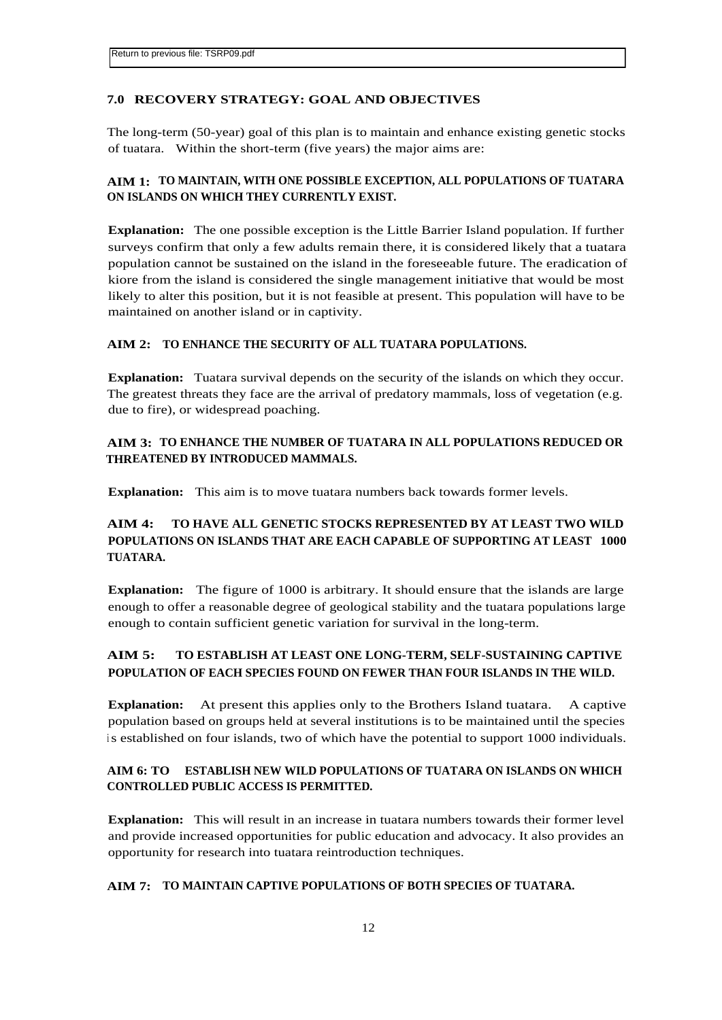#### **7.0 RECOVERY STRATEGY: GOAL AND OBJECTIVES**

The long-term (50-year) goal of this plan is to maintain and enhance existing genetic stocks of tuatara. Within the short-term (five years) the major aims are:

## **AIM 1: TO MAINTAIN, WITH ONE POSSIBLE EXCEPTION, ALL POPULATIONS OF TUATARA ON ISLANDS ON WHICH THEY CURRENTLY EXIST.**

**Explanation:** The one possible exception is the Little Barrier Island population. If further surveys confirm that only a few adults remain there, it is considered likely that a tuatara population cannot be sustained on the island in the foreseeable future. The eradication of kiore from the island is considered the single management initiative that would be most likely to alter this position, but it is not feasible at present. This population will have to be maintained on another island or in captivity.

#### **AIM 2: TO ENHANCE THE SECURITY OF ALL TUATARA POPULATIONS.**

**Explanation:** Tuatara survival depends on the security of the islands on which they occur. The greatest threats they face are the arrival of predatory mammals, loss of vegetation (e.g. due to fire), or widespread poaching.

# **AIM 3: TO ENHANCE THE NUMBER OF TUATARA IN ALL POPULATIONS REDUCED OR THREATENED BY INTRODUCED MAMMALS.**

**Explanation:** This aim is to move tuatara numbers back towards former levels.

# **AIM 4: TO HAVE ALL GENETIC STOCKS REPRESENTED BY AT LEAST TWO WILD POPULATIONS ON ISLANDS THAT ARE EACH CAPABLE OF SUPPORTING AT LEAST 1000 TUATARA.**

**Explanation:** The figure of 1000 is arbitrary. It should ensure that the islands are large enough to offer a reasonable degree of geological stability and the tuatara populations large enough to contain sufficient genetic variation for survival in the long-term.

# **AIM 5: TO ESTABLISH AT LEAST ONE LONG-TERM, SELF-SUSTAINING CAPTIVE POPULATION OF EACH SPECIES FOUND ON FEWER THAN FOUR ISLANDS IN THE WILD.**

**Explanation:** At present this applies only to the Brothers Island tuatara. A captive population based on groups held at several institutions is to be maintained until the species is established on four islands, two of which have the potential to support 1000 individuals.

#### **AIM 6: TO ESTABLISH NEW WILD POPULATIONS OF TUATARA ON ISLANDS ON WHICH CONTROLLED PUBLIC ACCESS IS PERMITTED.**

**Explanation:** This will result in an increase in tuatara numbers towards their former level and provide increased opportunities for public education and advocacy. It also provides an opportunity for research into tuatara reintroduction techniques.

#### **AIM 7: TO MAINTAIN CAPTIVE POPULATIONS OF BOTH SPECIES OF TUATARA.**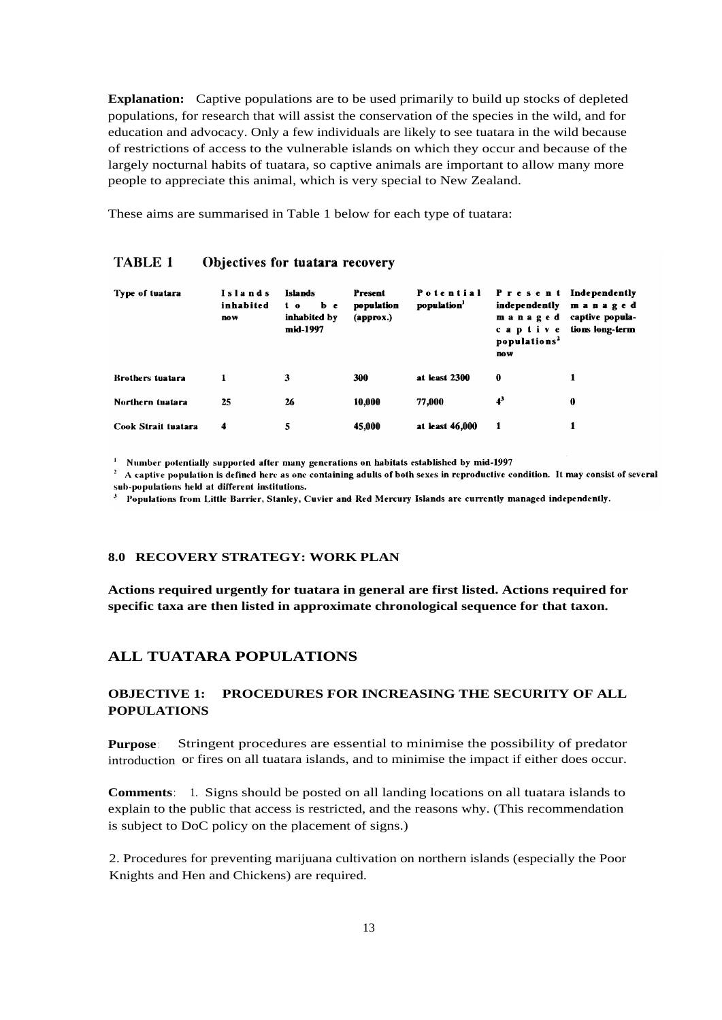**Explanation:** Captive populations are to be used primarily to build up stocks of depleted populations, for research that will assist the conservation of the species in the wild, and for education and advocacy. Only a few individuals are likely to see tuatara in the wild because of restrictions of access to the vulnerable islands on which they occur and because of the largely nocturnal habits of tuatara, so captive animals are important to allow many more people to appreciate this animal, which is very special to New Zealand.

These aims are summarised in Table 1 below for each type of tuatara:

| Type of tuatara         | Islands<br>inhabited<br><b>DOW</b> | <b>Islands</b><br>b e<br>$\mathbf{1} \cdot \mathbf{0}$<br>inhabited by<br>mid-1997 | Present<br>population<br>(approx.) | Potential<br>population' | Present Independently<br>independently<br>managed<br>c a p i i v e<br>populations <sup>2</sup><br>DOW <sub></sub> | managed<br>captive popula-<br>tions long-term |
|-------------------------|------------------------------------|------------------------------------------------------------------------------------|------------------------------------|--------------------------|-------------------------------------------------------------------------------------------------------------------|-----------------------------------------------|
| <b>Brothers tuatara</b> |                                    | 3                                                                                  | 300                                | at least 2300            | 0                                                                                                                 |                                               |
| Northern tuatara        | 25                                 | 26                                                                                 | 10,000                             | 77,000                   | $4^3$                                                                                                             | 0                                             |
| Cook Strait tuatara     | 4                                  | 5                                                                                  | 45,000                             | at least 46,000          |                                                                                                                   |                                               |

#### **TABLE 1** Objectives for tuatara recovery

<sup>1</sup> Number potentially supported after many generations on habitats established by mid-1997

 $2$  A captive population is defined here as one containing adults of both sexes in reproductive condition. It may consist of several sub-populations held at different institutions.

 $3$  Populations from Little Barrier, Stanley, Cuvier and Red Mercury Islands are currently managed independently.

#### **8.0 RECOVERY STRATEGY: WORK PLAN**

**Actions required urgently for tuatara in general are first listed. Actions required for specific taxa are then listed in approximate chronological sequence for that taxon.**

## **ALL TUATARA POPULATIONS**

## **OBJECTIVE 1: PROCEDURES FOR INCREASING THE SECURITY OF ALL POPULATIONS**

**Purpose** : Stringent procedures are essential to minimise the possibility of predator introduction or fires on all tuatara islands, and to minimise the impact if either does occur.

**Comments**: 1. Signs should be posted on all landing locations on all tuatara islands to explain to the public that access is restricted, and the reasons why. (This recommendation is subject to DoC policy on the placement of signs.)

2. Procedures for preventing marijuana cultivation on northern islands (especially the Poor Knights and Hen and Chickens) are required.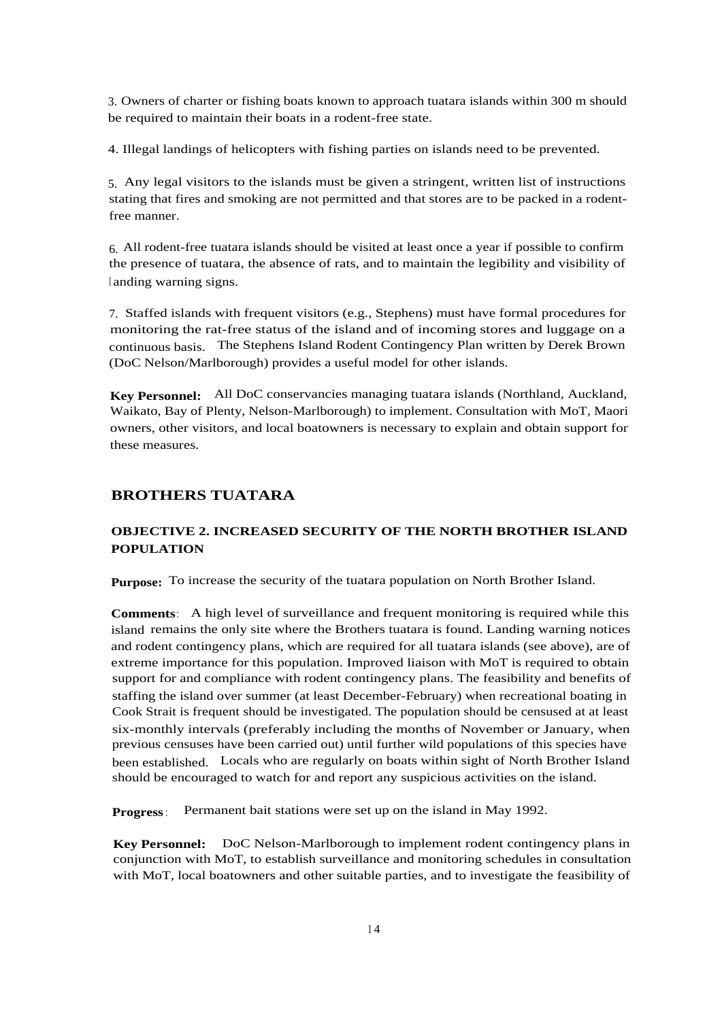3. Owners of charter or fishing boats known to approach tuatara islands within 300 m should be required to maintain their boats in a rodent-free state.

4. Illegal landings of helicopters with fishing parties on islands need to be prevented.

5. Any legal visitors to the islands must be given a stringent, written list of instructions stating that fires and smoking are not permitted and that stores are to be packed in a rodentfree manner.

6. All rodent-free tuatara islands should be visited at least once a year if possible to confirm the presence of tuatara, the absence of rats, and to maintain the legibility and visibility of landing warning signs.

7. Staffed islands with frequent visitors (e.g., Stephens) must have formal procedures for monitoring the rat-free status of the island and of incoming stores and luggage on a continuous basis. The Stephens Island Rodent Contingency Plan written by Derek Brown (DoC Nelson/Marlborough) provides a useful model for other islands.

**Key Personnel:** All DoC conservancies managing tuatara islands (Northland, Auckland, Waikato, Bay of Plenty, Nelson-Marlborough) to implement. Consultation with MoT, Maori owners, other visitors, and local boatowners is necessary to explain and obtain support for these measures.

# **BROTHERS TUATARA**

# **OBJECTIVE 2. INCREASED SECURITY OF THE NORTH BROTHER ISLAND POPULATION**

**Purpose:** To increase the security of the tuatara population on North Brother Island.

**Comments**: A high level of surveillance and frequent monitoring is required while this island remains the only site where the Brothers tuatara is found. Landing warning notices and rodent contingency plans, which are required for all tuatara islands (see above), are of extreme importance for this population. Improved liaison with MoT is required to obtain support for and compliance with rodent contingency plans. The feasibility and benefits of staffing the island over summer (at least December-February) when recreational boating in Cook Strait is frequent should be investigated. The population should be censused at at least six-monthly intervals (preferably including the months of November or January, when previous censuses have been carried out) until further wild populations of this species have been established. Locals who are regularly on boats within sight of North Brother Island should be encouraged to watch for and report any suspicious activities on the island.

**Progress**: Permanent bait stations were set up on the island in May 1992.

**Key Personnel:** DoC Nelson-Marlborough to implement rodent contingency plans in conjunction with MoT, to establish surveillance and monitoring schedules in consultation with MoT, local boatowners and other suitable parties, and to investigate the feasibility of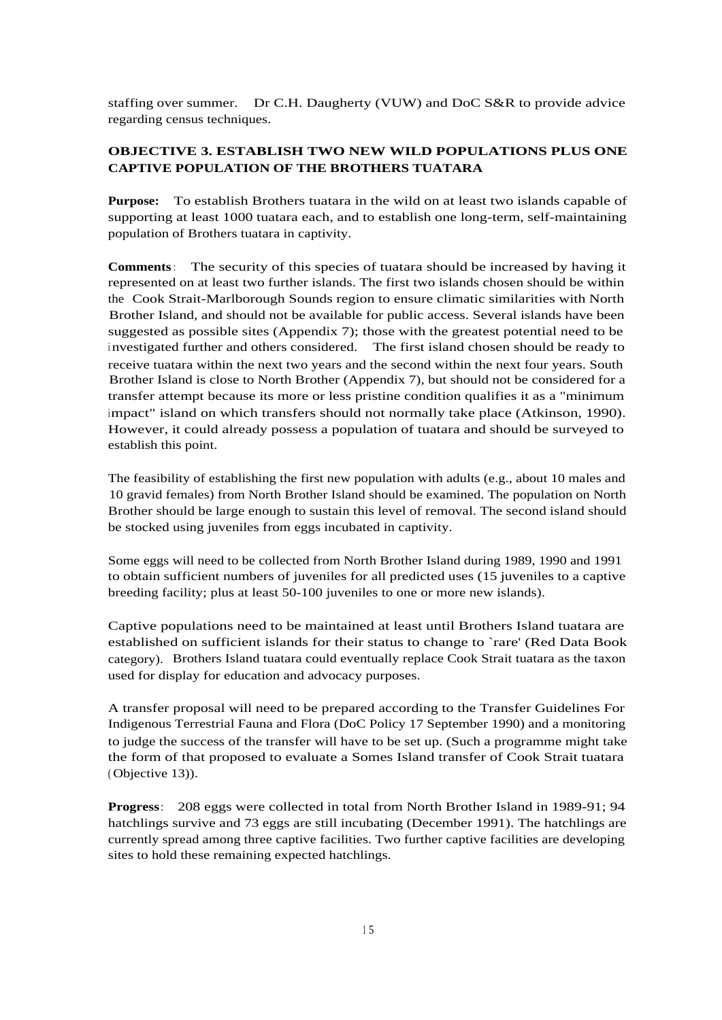staffing over summer. Dr C.H. Daugherty (VUW) and DoC S&R to provide advice regarding census techniques.

# **OBJECTIVE 3. ESTABLISH TWO NEW WILD POPULATIONS PLUS ONE CAPTIVE POPULATION OF THE BROTHERS TUATARA**

**Purpose:** To establish Brothers tuatara in the wild on at least two islands capable of supporting at least 1000 tuatara each, and to establish one long-term, self-maintaining population of Brothers tuatara in captivity.

**Comments**: The security of this species of tuatara should be increased by having it represented on at least two further islands. The first two islands chosen should be within the Cook Strait-Marlborough Sounds region to ensure climatic similarities with North Brother Island, and should not be available for public access. Several islands have been suggested as possible sites (Appendix 7); those with the greatest potential need to be investigated further and others considered. The first island chosen should be ready to receive tuatara within the next two years and the second within the next four years. South Brother Island is close to North Brother (Appendix 7), but should not be considered for a transfer attempt because its more or less pristine condition qualifies it as a "minimum impact" island on which transfers should not normally take place (Atkinson, 1990). However, it could already possess a population of tuatara and should be surveyed to establish this point.

The feasibility of establishing the first new population with adults (e.g., about 10 males and 10 gravid females) from North Brother Island should be examined. The population on North Brother should be large enough to sustain this level of removal. The second island should be stocked using juveniles from eggs incubated in captivity.

Some eggs will need to be collected from North Brother Island during 1989, 1990 and 1991 to obtain sufficient numbers of juveniles for all predicted uses (15 juveniles to a captive breeding facility; plus at least 50-100 juveniles to one or more new islands).

Captive populations need to be maintained at least until Brothers Island tuatara are established on sufficient islands for their status to change to `rare' (Red Data Book category). Brothers Island tuatara could eventually replace Cook Strait tuatara as the taxon used for display for education and advocacy purposes.

A transfer proposal will need to be prepared according to the Transfer Guidelines For Indigenous Terrestrial Fauna and Flora (DoC Policy 17 September 1990) and a monitoring to judge the success of the transfer will have to be set up. (Such a programme might take the form of that proposed to evaluate a Somes Island transfer of Cook Strait tuatara ( Objective 13)).

**Progress**: 208 eggs were collected in total from North Brother Island in 1989-91; 94 hatchlings survive and 73 eggs are still incubating (December 1991). The hatchlings are currently spread among three captive facilities. Two further captive facilities are developing sites to hold these remaining expected hatchlings.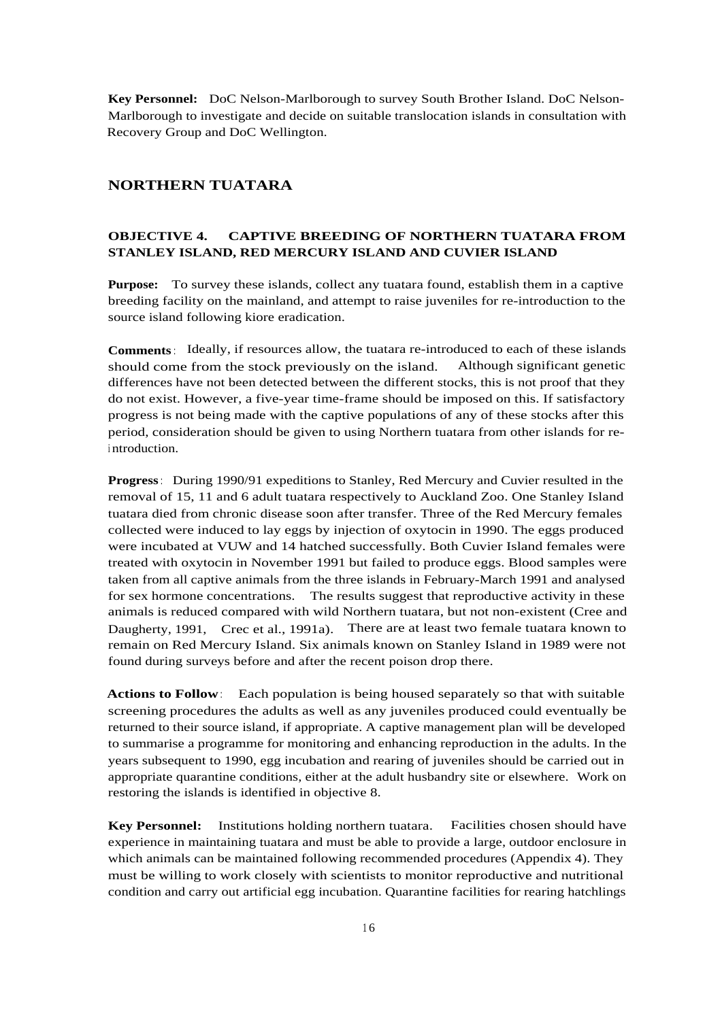**Key Personnel:** DoC Nelson-Marlborough to survey South Brother Island. DoC Nelson-Marlborough to investigate and decide on suitable translocation islands in consultation with Recovery Group and DoC Wellington.

## **NORTHERN TUATARA**

## **OBJECTIVE 4. CAPTIVE BREEDING OF NORTHERN TUATARA FROM STANLEY ISLAND, RED MERCURY ISLAND AND CUVIER ISLAND**

**Purpose:** To survey these islands, collect any tuatara found, establish them in a captive breeding facility on the mainland, and attempt to raise juveniles for re-introduction to the source island following kiore eradication.

**Comments**: Ideally, if resources allow, the tuatara re-introduced to each of these islands should come from the stock previously on the island. Although significant genetic differences have not been detected between the different stocks, this is not proof that they do not exist. However, a five-year time-frame should be imposed on this. If satisfactory progress is not being made with the captive populations of any of these stocks after this period, consideration should be given to using Northern tuatara from other islands for re<sup>i</sup> ntroduction.

**Progress**: During 1990/91 expeditions to Stanley, Red Mercury and Cuvier resulted in the removal of 15, 11 and 6 adult tuatara respectively to Auckland Zoo. One Stanley Island tuatara died from chronic disease soon after transfer. Three of the Red Mercury females collected were induced to lay eggs by injection of oxytocin in 1990. The eggs produced were incubated at VUW and 14 hatched successfully. Both Cuvier Island females were treated with oxytocin in November 1991 but failed to produce eggs. Blood samples were taken from all captive animals from the three islands in February-March 1991 and analysed for sex hormone concentrations. The results suggest that reproductive activity in these animals is reduced compared with wild Northern tuatara, but not non-existent (Cree and Daugherty, 1991, Crec et al., 1991a). There are at least two female tuatara known to remain on Red Mercury Island. Six animals known on Stanley Island in 1989 were not found during surveys before and after the recent poison drop there.

**Actions to Follow**: Each population is being housed separately so that with suitable screening procedures the adults as well as any juveniles produced could eventually be returned to their source island, if appropriate. A captive management plan will be developed to summarise a programme for monitoring and enhancing reproduction in the adults. In the years subsequent to 1990, egg incubation and rearing of juveniles should be carried out in appropriate quarantine conditions, either at the adult husbandry site or elsewhere. Work on restoring the islands is identified in objective 8.

**Key Personnel:** Institutions holding northern tuatara. Facilities chosen should have experience in maintaining tuatara and must be able to provide a large, outdoor enclosure in which animals can be maintained following recommended procedures (Appendix 4). They must be willing to work closely with scientists to monitor reproductive and nutritional condition and carry out artificial egg incubation. Quarantine facilities for rearing hatchlings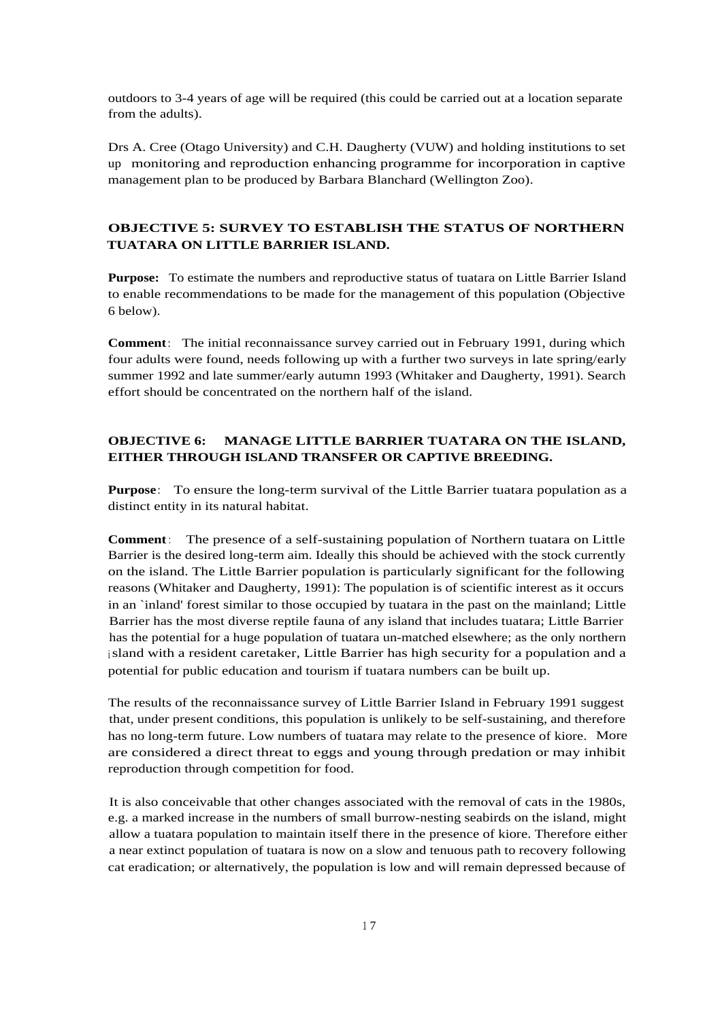outdoors to 3-4 years of age will be required (this could be carried out at a location separate from the adults).

Drs A. Cree (Otago University) and C.H. Daugherty (VUW) and holding institutions to set up monitoring and reproduction enhancing programme for incorporation in captive management plan to be produced by Barbara Blanchard (Wellington Zoo).

## **OBJECTIVE 5: SURVEY TO ESTABLISH THE STATUS OF NORTHERN TUATARA ON LITTLE BARRIER ISLAND.**

**Purpose:** To estimate the numbers and reproductive status of tuatara on Little Barrier Island to enable recommendations to be made for the management of this population (Objective 6 below).

**Comment**: The initial reconnaissance survey carried out in February 1991, during which four adults were found, needs following up with a further two surveys in late spring/early summer 1992 and late summer/early autumn 1993 (Whitaker and Daugherty, 1991). Search effort should be concentrated on the northern half of the island.

## **OBJECTIVE 6: MANAGE LITTLE BARRIER TUATARA ON THE ISLAND, EITHER THROUGH ISLAND TRANSFER OR CAPTIVE BREEDING.**

**Purpose**: To ensure the long-term survival of the Little Barrier tuatara population as a distinct entity in its natural habitat.

**Comment**: The presence of a self-sustaining population of Northern tuatara on Little Barrier is the desired long-term aim. Ideally this should be achieved with the stock currently on the island. The Little Barrier population is particularly significant for the following reasons (Whitaker and Daugherty, 1991): The population is of scientific interest as it occurs in an `inland' forest similar to those occupied by tuatara in the past on the mainland; Little Barrier has the most diverse reptile fauna of any island that includes tuatara; Little Barrier has the potential for a huge population of tuatara un-matched elsewhere; as the only northern island with a resident caretaker, Little Barrier has high security for a population and a potential for public education and tourism if tuatara numbers can be built up.

The results of the reconnaissance survey of Little Barrier Island in February 1991 suggest that, under present conditions, this population is unlikely to be self-sustaining, and therefore has no long-term future. Low numbers of tuatara may relate to the presence of kiore. More are considered a direct threat to eggs and young through predation or may inhibit reproduction through competition for food.

It is also conceivable that other changes associated with the removal of cats in the 1980s, e.g. a marked increase in the numbers of small burrow-nesting seabirds on the island, might allow a tuatara population to maintain itself there in the presence of kiore. Therefore either a near extinct population of tuatara is now on a slow and tenuous path to recovery following cat eradication; or alternatively, the population is low and will remain depressed because of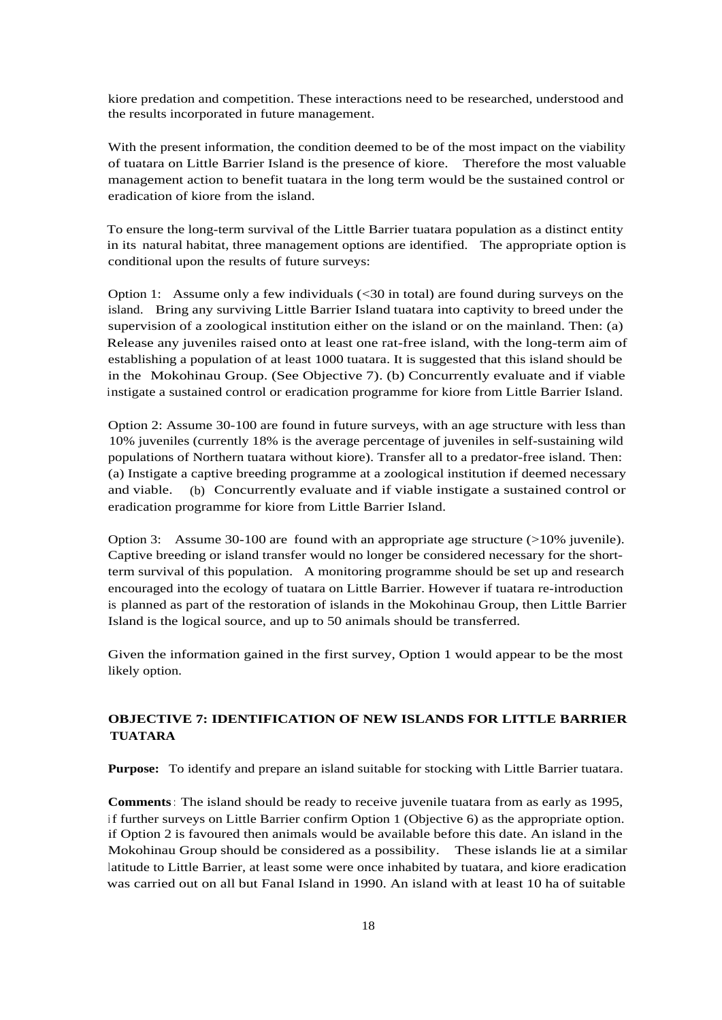kiore predation and competition. These interactions need to be researched, understood and the results incorporated in future management.

With the present information, the condition deemed to be of the most impact on the viability of tuatara on Little Barrier Island is the presence of kiore. Therefore the most valuable management action to benefit tuatara in the long term would be the sustained control or eradication of kiore from the island.

To ensure the long-term survival of the Little Barrier tuatara population as a distinct entity in its natural habitat, three management options are identified. The appropriate option is conditional upon the results of future surveys:

Option 1: Assume only a few individuals (<30 in total) are found during surveys on the island. Bring any surviving Little Barrier Island tuatara into captivity to breed under the supervision of a zoological institution either on the island or on the mainland. Then: (a) Release any juveniles raised onto at least one rat-free island, with the long-term aim of establishing a population of at least 1000 tuatara. It is suggested that this island should be in the Mokohinau Group. (See Objective 7). (b) Concurrently evaluate and if viable instigate a sustained control or eradication programme for kiore from Little Barrier Island.

Option 2: Assume 30-100 are found in future surveys, with an age structure with less than 10% juveniles (currently 18% is the average percentage of juveniles in self-sustaining wild populations of Northern tuatara without kiore). Transfer all to a predator-free island. Then: (a) Instigate a captive breeding programme at a zoological institution if deemed necessary and viable. (b) Concurrently evaluate and if viable instigate a sustained control or eradication programme for kiore from Little Barrier Island.

Option 3: Assume 30-100 are found with an appropriate age structure (>10% juvenile). Captive breeding or island transfer would no longer be considered necessary for the shortterm survival of this population. A monitoring programme should be set up and research encouraged into the ecology of tuatara on Little Barrier. However if tuatara re-introduction is planned as part of the restoration of islands in the Mokohinau Group, then Little Barrier Island is the logical source, and up to 50 animals should be transferred.

Given the information gained in the first survey, Option 1 would appear to be the most likely option.

# **OBJECTIVE 7: IDENTIFICATION OF NEW ISLANDS FOR LITTLE BARRIER TUATARA**

**Purpose:** To identify and prepare an island suitable for stocking with Little Barrier tuatara.

**Comments**: The island should be ready to receive juvenile tuatara from as early as 1995, <sup>i</sup> f further surveys on Little Barrier confirm Option 1 (Objective 6) as the appropriate option. if Option 2 is favoured then animals would be available before this date. An island in the Mokohinau Group should be considered as a possibility. These islands lie at a similar latitude to Little Barrier, at least some were once inhabited by tuatara, and kiore eradication was carried out on all but Fanal Island in 1990. An island with at least 10 ha of suitable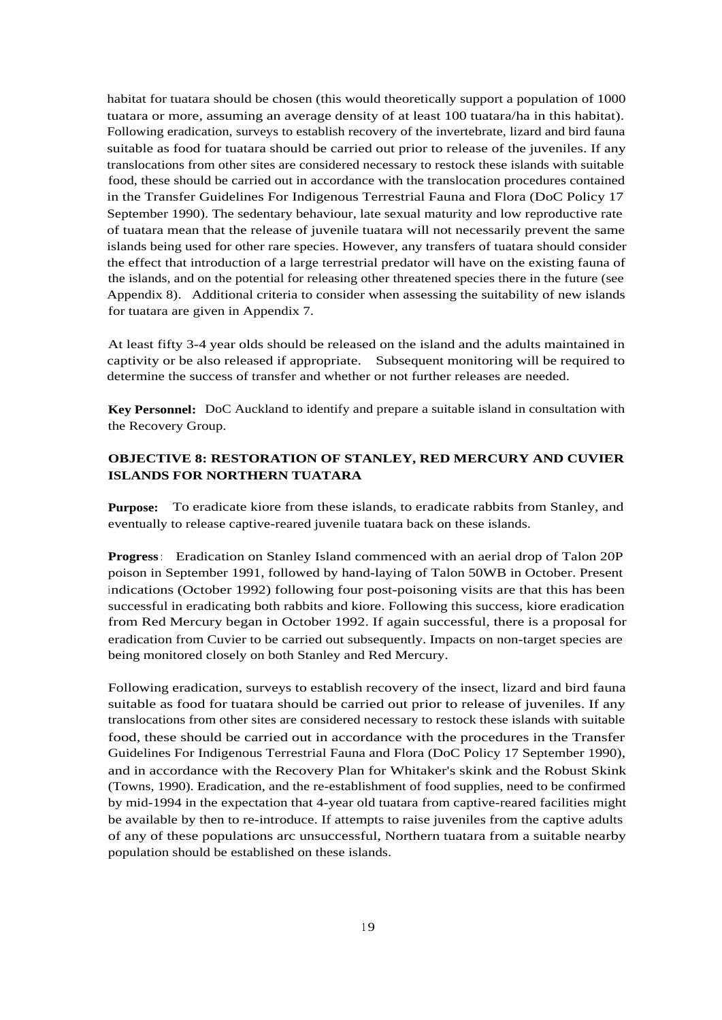habitat for tuatara should be chosen (this would theoretically support a population of 1000 tuatara or more, assuming an average density of at least 100 tuatara/ha in this habitat). Following eradication, surveys to establish recovery of the invertebrate, lizard and bird fauna suitable as food for tuatara should be carried out prior to release of the juveniles. If any translocations from other sites are considered necessary to restock these islands with suitable food, these should be carried out in accordance with the translocation procedures contained in the Transfer Guidelines For Indigenous Terrestrial Fauna and Flora (DoC Policy 17 September 1990). The sedentary behaviour, late sexual maturity and low reproductive rate of tuatara mean that the release of juvenile tuatara will not necessarily prevent the same islands being used for other rare species. However, any transfers of tuatara should consider the effect that introduction of a large terrestrial predator will have on the existing fauna of the islands, and on the potential for releasing other threatened species there in the future (see Appendix 8). Additional criteria to consider when assessing the suitability of new islands for tuatara are given in Appendix 7.

At least fifty 3-4 year olds should be released on the island and the adults maintained in captivity or be also released if appropriate. Subsequent monitoring will be required to determine the success of transfer and whether or not further releases are needed.

**Key Personnel:** DoC Auckland to identify and prepare a suitable island in consultation with the Recovery Group.

## **OBJECTIVE 8: RESTORATION OF STANLEY, RED MERCURY AND CUVIER ISLANDS FOR NORTHERN TUATARA**

**Purpose:** To eradicate kiore from these islands, to eradicate rabbits from Stanley, and eventually to release captive-reared juvenile tuatara back on these islands.

**Progress**: Eradication on Stanley Island commenced with an aerial drop of Talon 20P poison in September 1991, followed by hand-laying of Talon 50WB in October. Present indications (October 1992) following four post-poisoning visits are that this has been successful in eradicating both rabbits and kiore. Following this success, kiore eradication from Red Mercury began in October 1992. If again successful, there is a proposal for eradication from Cuvier to be carried out subsequently. Impacts on non-target species are being monitored closely on both Stanley and Red Mercury.

Following eradication, surveys to establish recovery of the insect, lizard and bird fauna suitable as food for tuatara should be carried out prior to release of juveniles. If any translocations from other sites are considered necessary to restock these islands with suitable food, these should be carried out in accordance with the procedures in the Transfer Guidelines For Indigenous Terrestrial Fauna and Flora (DoC Policy 17 September 1990), and in accordance with the Recovery Plan for Whitaker's skink and the Robust Skink (Towns, 1990). Eradication, and the re-establishment of food supplies, need to be confirmed by mid-1994 in the expectation that 4-year old tuatara from captive-reared facilities might be available by then to re-introduce. If attempts to raise juveniles from the captive adults of any of these populations arc unsuccessful, Northern tuatara from a suitable nearby population should be established on these islands.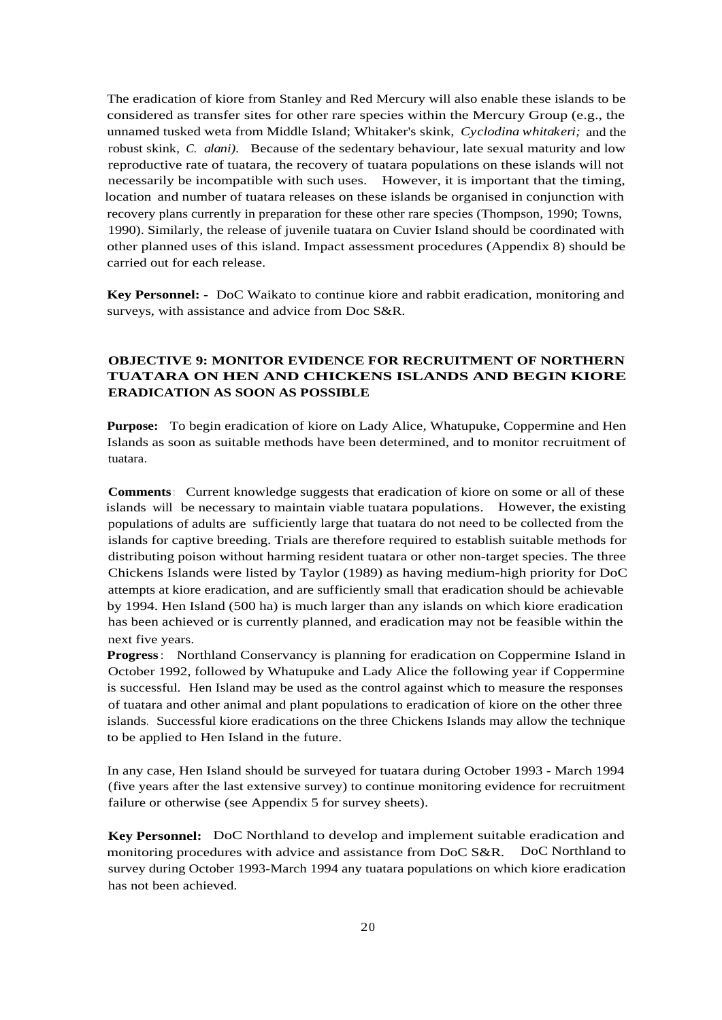The eradication of kiore from Stanley and Red Mercury will also enable these islands to be considered as transfer sites for other rare species within the Mercury Group (e.g., the unnamed tusked weta from Middle Island; Whitaker's skink, *Cyclodina whitakeri;* and the robust skink, *C. alani).* Because of the sedentary behaviour, late sexual maturity and low reproductive rate of tuatara, the recovery of tuatara populations on these islands will not necessarily be incompatible with such uses. However, it is important that the timing, location and number of tuatara releases on these islands be organised in conjunction with recovery plans currently in preparation for these other rare species (Thompson, 1990; Towns, 1990). Similarly, the release of juvenile tuatara on Cuvier Island should be coordinated with other planned uses of this island. Impact assessment procedures (Appendix 8) should be carried out for each release.

**Key Personnel: -** DoC Waikato to continue kiore and rabbit eradication, monitoring and surveys, with assistance and advice from Doc S&R.

## **OBJECTIVE 9: MONITOR EVIDENCE FOR RECRUITMENT OF NORTHERN TUATARA ON HEN AND CHICKENS ISLANDS AND BEGIN KIORE ERADICATION AS SOON AS POSSIBLE**

**Purpose:** To begin eradication of kiore on Lady Alice, Whatupuke, Coppermine and Hen Islands as soon as suitable methods have been determined, and to monitor recruitment of tuatara.

**Comments**: Current knowledge suggests that eradication of kiore on some or all of these islands will be necessary to maintain viable tuatara populations. However, the existing populations of adults are sufficiently large that tuatara do not need to be collected from the islands for captive breeding. Trials are therefore required to establish suitable methods for distributing poison without harming resident tuatara or other non-target species. The three Chickens Islands were listed by Taylor (1989) as having medium-high priority for DoC attempts at kiore eradication, and are sufficiently small that eradication should be achievable by 1994. Hen Island (500 ha) is much larger than any islands on which kiore eradication has been achieved or is currently planned, and eradication may not be feasible within the next five years.

**Progress**: Northland Conservancy is planning for eradication on Coppermine Island in October 1992, followed by Whatupuke and Lady Alice the following year if Coppermine is successful. Hen Island may be used as the control against which to measure the responses of tuatara and other animal and plant populations to eradication of kiore on the other three islands. Successful kiore eradications on the three Chickens Islands may allow the technique to be applied to Hen Island in the future.

In any case, Hen Island should be surveyed for tuatara during October 1993 - March 1994 (five years after the last extensive survey) to continue monitoring evidence for recruitment failure or otherwise (see Appendix 5 for survey sheets).

**Key Personnel:** DoC Northland to develop and implement suitable eradication and monitoring procedures with advice and assistance from DoC S&R. DoC Northland to survey during October 1993-March 1994 any tuatara populations on which kiore eradication has not been achieved.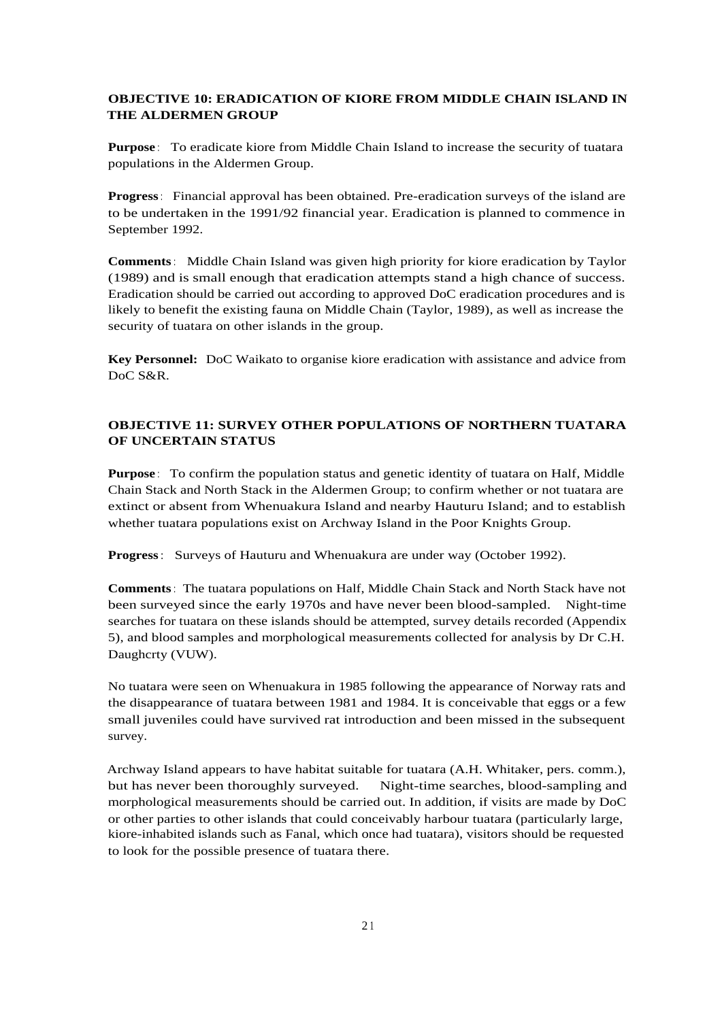## **OBJECTIVE 10: ERADICATION OF KIORE FROM MIDDLE CHAIN ISLAND IN THE ALDERMEN GROUP**

**Purpose** : To eradicate kiore from Middle Chain Island to increase the security of tuatara populations in the Aldermen Group.

**Progress**: Financial approval has been obtained. Pre-eradication surveys of the island are to be undertaken in the 1991/92 financial year. Eradication is planned to commence in September 1992.

**Comments**: Middle Chain Island was given high priority for kiore eradication by Taylor (1989) and is small enough that eradication attempts stand a high chance of success. Eradication should be carried out according to approved DoC eradication procedures and is likely to benefit the existing fauna on Middle Chain (Taylor, 1989), as well as increase the security of tuatara on other islands in the group.

**Key Personnel:** DoC Waikato to organise kiore eradication with assistance and advice from DoC S&R.

## **OBJECTIVE 11: SURVEY OTHER POPULATIONS OF NORTHERN TUATARA OF UNCERTAIN STATUS**

**Purpose** : To confirm the population status and genetic identity of tuatara on Half, Middle Chain Stack and North Stack in the Aldermen Group; to confirm whether or not tuatara are extinct or absent from Whenuakura Island and nearby Hauturu Island; and to establish whether tuatara populations exist on Archway Island in the Poor Knights Group.

**Progress**: Surveys of Hauturu and Whenuakura are under way (October 1992).

**Comments**: The tuatara populations on Half, Middle Chain Stack and North Stack have not been surveyed since the early 1970s and have never been blood-sampled. Night-time searches for tuatara on these islands should be attempted, survey details recorded (Appendix 5), and blood samples and morphological measurements collected for analysis by Dr C.H. Daughcrty (VUW).

No tuatara were seen on Whenuakura in 1985 following the appearance of Norway rats and the disappearance of tuatara between 1981 and 1984. It is conceivable that eggs or a few small juveniles could have survived rat introduction and been missed in the subsequent survey.

Archway Island appears to have habitat suitable for tuatara (A.H. Whitaker, pers. comm.), but has never been thoroughly surveyed. Night-time searches, blood-sampling and morphological measurements should be carried out. In addition, if visits are made by DoC or other parties to other islands that could conceivably harbour tuatara (particularly large, kiore-inhabited islands such as Fanal, which once had tuatara), visitors should be requested to look for the possible presence of tuatara there.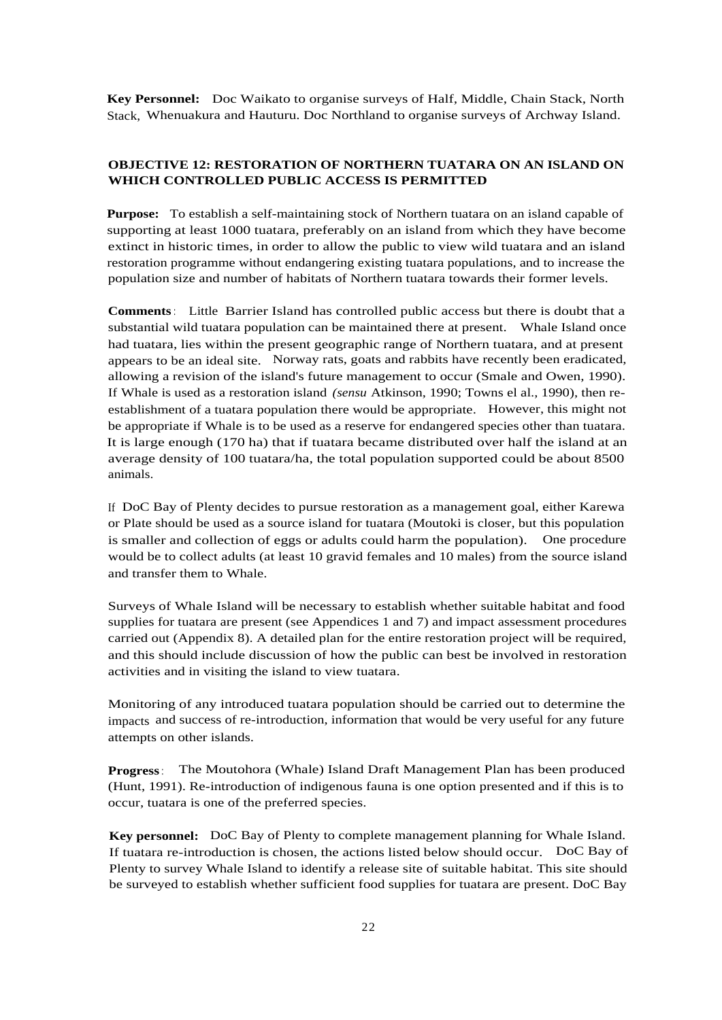**Key Personnel:** Doc Waikato to organise surveys of Half, Middle, Chain Stack, North Stack, Whenuakura and Hauturu. Doc Northland to organise surveys of Archway Island.

#### **OBJECTIVE 12: RESTORATION OF NORTHERN TUATARA ON AN ISLAND ON WHICH CONTROLLED PUBLIC ACCESS IS PERMITTED**

**Purpose:** To establish a self-maintaining stock of Northern tuatara on an island capable of supporting at least 1000 tuatara, preferably on an island from which they have become extinct in historic times, in order to allow the public to view wild tuatara and an island restoration programme without endangering existing tuatara populations, and to increase the population size and number of habitats of Northern tuatara towards their former levels.

**Comments**: Little Barrier Island has controlled public access but there is doubt that a substantial wild tuatara population can be maintained there at present. Whale Island once had tuatara, lies within the present geographic range of Northern tuatara, and at present appears to be an ideal site. Norway rats, goats and rabbits have recently been eradicated, allowing a revision of the island's future management to occur (Smale and Owen, 1990). If Whale is used as a restoration island *(sensu* Atkinson, 1990; Towns el al., 1990), then reestablishment of a tuatara population there would be appropriate. However, this might not be appropriate if Whale is to be used as a reserve for endangered species other than tuatara. It is large enough (170 ha) that if tuatara became distributed over half the island at an average density of 100 tuatara/ha, the total population supported could be about 8500 animals.

If DoC Bay of Plenty decides to pursue restoration as a management goal, either Karewa or Plate should be used as a source island for tuatara (Moutoki is closer, but this population is smaller and collection of eggs or adults could harm the population). One procedure would be to collect adults (at least 10 gravid females and 10 males) from the source island and transfer them to Whale.

Surveys of Whale Island will be necessary to establish whether suitable habitat and food supplies for tuatara are present (see Appendices 1 and 7) and impact assessment procedures carried out (Appendix 8). A detailed plan for the entire restoration project will be required, and this should include discussion of how the public can best be involved in restoration activities and in visiting the island to view tuatara.

Monitoring of any introduced tuatara population should be carried out to determine the impacts and success of re-introduction, information that would be very useful for any future attempts on other islands.

**Progress**: The Moutohora (Whale) Island Draft Management Plan has been produced (Hunt, 1991). Re-introduction of indigenous fauna is one option presented and if this is to occur, tuatara is one of the preferred species.

**Key personnel:** DoC Bay of Plenty to complete management planning for Whale Island. If tuatara re-introduction is chosen, the actions listed below should occur. DoC Bay of Plenty to survey Whale Island to identify a release site of suitable habitat. This site should be surveyed to establish whether sufficient food supplies for tuatara are present. DoC Bay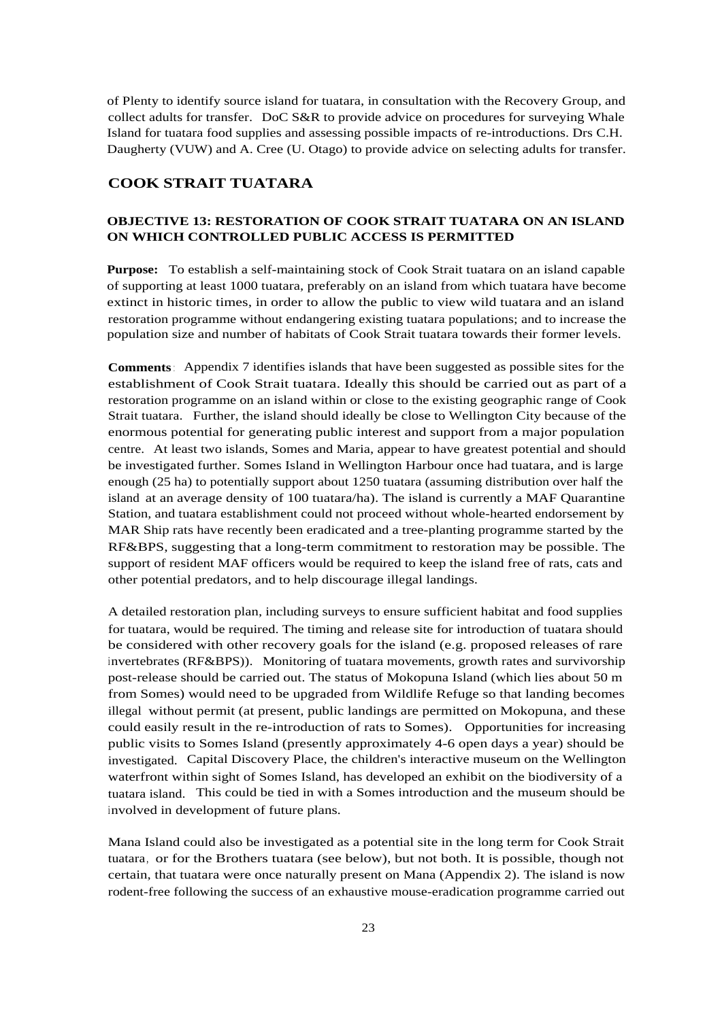of Plenty to identify source island for tuatara, in consultation with the Recovery Group, and collect adults for transfer. DoC S&R to provide advice on procedures for surveying Whale Island for tuatara food supplies and assessing possible impacts of re-introductions. Drs C.H. Daugherty (VUW) and A. Cree (U. Otago) to provide advice on selecting adults for transfer.

## **COOK STRAIT TUATARA**

#### **OBJECTIVE 13: RESTORATION OF COOK STRAIT TUATARA ON AN ISLAND ON WHICH CONTROLLED PUBLIC ACCESS IS PERMITTED**

**Purpose:** To establish a self-maintaining stock of Cook Strait tuatara on an island capable of supporting at least 1000 tuatara, preferably on an island from which tuatara have become extinct in historic times, in order to allow the public to view wild tuatara and an island restoration programme without endangering existing tuatara populations; and to increase the population size and number of habitats of Cook Strait tuatara towards their former levels.

**Comments**: Appendix 7 identifies islands that have been suggested as possible sites for the establishment of Cook Strait tuatara. Ideally this should be carried out as part of a restoration programme on an island within or close to the existing geographic range of Cook Strait tuatara. Further, the island should ideally be close to Wellington City because of the enormous potential for generating public interest and support from a major population centre. At least two islands, Somes and Maria, appear to have greatest potential and should be investigated further. Somes Island in Wellington Harbour once had tuatara, and is large enough (25 ha) to potentially support about 1250 tuatara (assuming distribution over half the island at an average density of 100 tuatara/ha). The island is currently a MAF Quarantine Station, and tuatara establishment could not proceed without whole-hearted endorsement by MAR Ship rats have recently been eradicated and a tree-planting programme started by the RF&BPS, suggesting that a long-term commitment to restoration may be possible. The support of resident MAF officers would be required to keep the island free of rats, cats and other potential predators, and to help discourage illegal landings.

A detailed restoration plan, including surveys to ensure sufficient habitat and food supplies for tuatara, would be required. The timing and release site for introduction of tuatara should be considered with other recovery goals for the island (e.g. proposed releases of rare invertebrates (RF&BPS)). Monitoring of tuatara movements, growth rates and survivorship post-release should be carried out. The status of Mokopuna Island (which lies about 50 m from Somes) would need to be upgraded from Wildlife Refuge so that landing becomes illegal without permit (at present, public landings are permitted on Mokopuna, and these could easily result in the re-introduction of rats to Somes). Opportunities for increasing public visits to Somes Island (presently approximately 4-6 open days a year) should be investigated. Capital Discovery Place, the children's interactive museum on the Wellington waterfront within sight of Somes Island, has developed an exhibit on the biodiversity of a tuatara island. This could be tied in with a Somes introduction and the museum should be involved in development of future plans.

Mana Island could also be investigated as a potential site in the long term for Cook Strait tuatara, or for the Brothers tuatara (see below), but not both. It is possible, though not certain, that tuatara were once naturally present on Mana (Appendix 2). The island is now rodent-free following the success of an exhaustive mouse-eradication programme carried out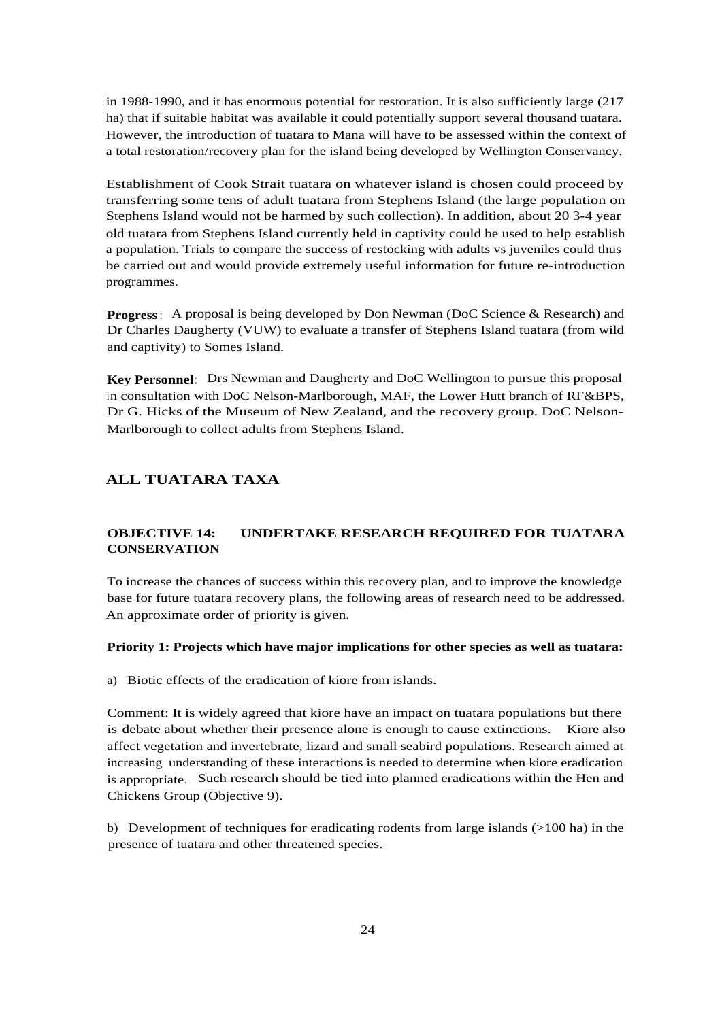in 1988-1990, and it has enormous potential for restoration. It is also sufficiently large (217 ha) that if suitable habitat was available it could potentially support several thousand tuatara. However, the introduction of tuatara to Mana will have to be assessed within the context of a total restoration/recovery plan for the island being developed by Wellington Conservancy.

Establishment of Cook Strait tuatara on whatever island is chosen could proceed by transferring some tens of adult tuatara from Stephens Island (the large population on Stephens Island would not be harmed by such collection). In addition, about 20 3-4 year old tuatara from Stephens Island currently held in captivity could be used to help establish a population. Trials to compare the success of restocking with adults vs juveniles could thus be carried out and would provide extremely useful information for future re-introduction programmes.

**Progress**: A proposal is being developed by Don Newman (DoC Science & Research) and Dr Charles Daugherty (VUW) to evaluate a transfer of Stephens Island tuatara (from wild and captivity) to Somes Island.

**Key Personnel**: Drs Newman and Daugherty and DoC Wellington to pursue this proposal in consultation with DoC Nelson-Marlborough, MAF, the Lower Hutt branch of RF&BPS, Dr G. Hicks of the Museum of New Zealand, and the recovery group. DoC Nelson-Marlborough to collect adults from Stephens Island.

# **ALL TUATARA TAXA**

## **OBJECTIVE 14: UNDERTAKE RESEARCH REQUIRED FOR TUATARA CONSERVATION**

To increase the chances of success within this recovery plan, and to improve the knowledge base for future tuatara recovery plans, the following areas of research need to be addressed. An approximate order of priority is given.

#### **Priority 1: Projects which have major implications for other species as well as tuatara:**

a) Biotic effects of the eradication of kiore from islands.

Comment: It is widely agreed that kiore have an impact on tuatara populations but there is debate about whether their presence alone is enough to cause extinctions. Kiore also affect vegetation and invertebrate, lizard and small seabird populations. Research aimed at increasing understanding of these interactions is needed to determine when kiore eradication is appropriate. Such research should be tied into planned eradications within the Hen and Chickens Group (Objective 9).

b) Development of techniques for eradicating rodents from large islands (>100 ha) in the presence of tuatara and other threatened species.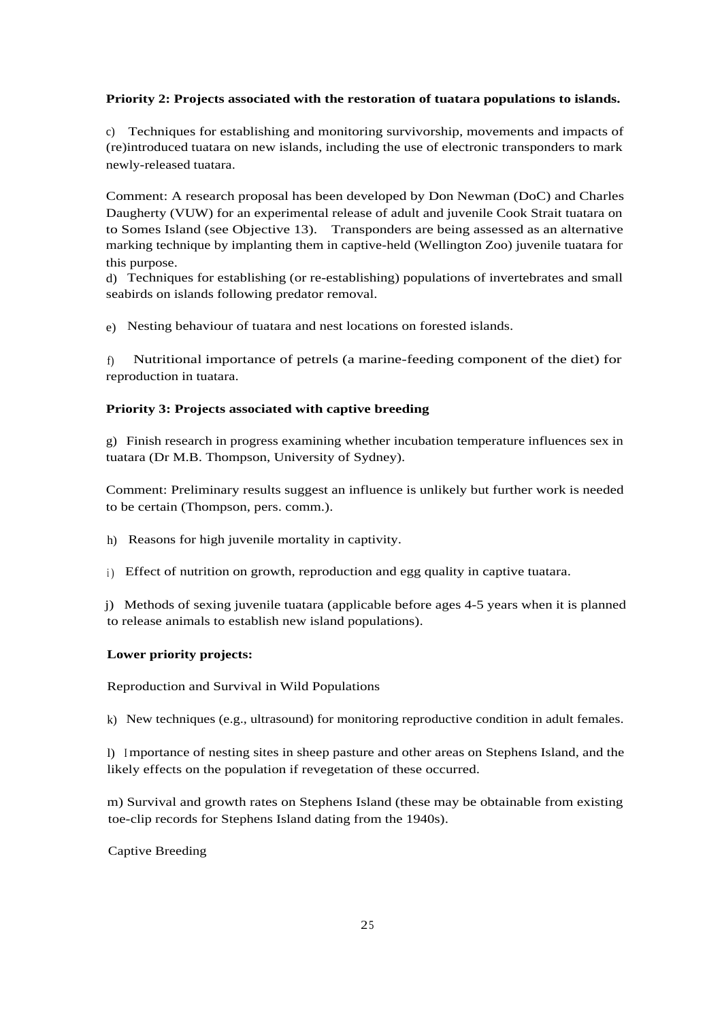## **Priority 2: Projects associated with the restoration of tuatara populations to islands.**

c) Techniques for establishing and monitoring survivorship, movements and impacts of (re)introduced tuatara on new islands, including the use of electronic transponders to mark newly-released tuatara.

Comment: A research proposal has been developed by Don Newman (DoC) and Charles Daugherty (VUW) for an experimental release of adult and juvenile Cook Strait tuatara on to Somes Island (see Objective 13). Transponders are being assessed as an alternative marking technique by implanting them in captive-held (Wellington Zoo) juvenile tuatara for this purpose.

d) Techniques for establishing (or re-establishing) populations of invertebrates and small seabirds on islands following predator removal.

e) Nesting behaviour of tuatara and nest locations on forested islands.

f) Nutritional importance of petrels (a marine-feeding component of the diet) for reproduction in tuatara.

#### **Priority 3: Projects associated with captive breeding**

g) Finish research in progress examining whether incubation temperature influences sex in tuatara (Dr M.B. Thompson, University of Sydney).

Comment: Preliminary results suggest an influence is unlikely but further work is needed to be certain (Thompson, pers. comm.).

- h) Reasons for high juvenile mortality in captivity.
- i) Effect of nutrition on growth, reproduction and egg quality in captive tuatara.

j) Methods of sexing juvenile tuatara (applicable before ages 4-5 years when it is planned to release animals to establish new island populations).

#### **Lower priority projects:**

Reproduction and Survival in Wild Populations

k) New techniques (e.g., ultrasound) for monitoring reproductive condition in adult females.

l) <sup>I</sup> mportance of nesting sites in sheep pasture and other areas on Stephens Island, and the likely effects on the population if revegetation of these occurred.

m) Survival and growth rates on Stephens Island (these may be obtainable from existing toe-clip records for Stephens Island dating from the 1940s).

Captive Breeding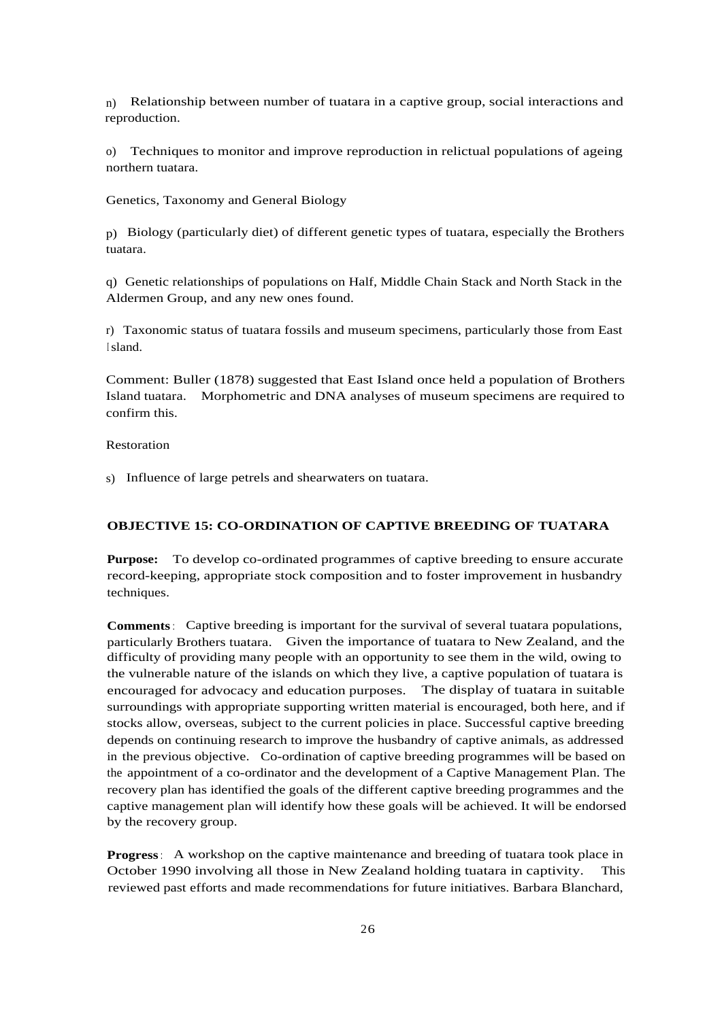n) Relationship between number of tuatara in a captive group, social interactions and reproduction.

o) Techniques to monitor and improve reproduction in relictual populations of ageing northern tuatara.

Genetics, Taxonomy and General Biology

p) Biology (particularly diet) of different genetic types of tuatara, especially the Brothers tuatara.

q) Genetic relationships of populations on Half, Middle Chain Stack and North Stack in the Aldermen Group, and any new ones found.

r) Taxonomic status of tuatara fossils and museum specimens, particularly those from East <sup>I</sup> sland.

Comment: Buller (1878) suggested that East Island once held a population of Brothers Island tuatara. Morphometric and DNA analyses of museum specimens are required to confirm this.

#### Restoration

s) Influence of large petrels and shearwaters on tuatara.

#### **OBJECTIVE 15: CO-ORDINATION OF CAPTIVE BREEDING OF TUATARA**

**Purpose:** To develop co-ordinated programmes of captive breeding to ensure accurate record-keeping, appropriate stock composition and to foster improvement in husbandry techniques.

**Comments**: Captive breeding is important for the survival of several tuatara populations, particularly Brothers tuatara. Given the importance of tuatara to New Zealand, and the difficulty of providing many people with an opportunity to see them in the wild, owing to the vulnerable nature of the islands on which they live, a captive population of tuatara is encouraged for advocacy and education purposes. The display of tuatara in suitable surroundings with appropriate supporting written material is encouraged, both here, and if stocks allow, overseas, subject to the current policies in place. Successful captive breeding depends on continuing research to improve the husbandry of captive animals, as addressed in the previous objective. Co-ordination of captive breeding programmes will be based on the appointment of a co-ordinator and the development of a Captive Management Plan. The recovery plan has identified the goals of the different captive breeding programmes and the captive management plan will identify how these goals will be achieved. It will be endorsed by the recovery group.

**Progress**: A workshop on the captive maintenance and breeding of tuatara took place in October 1990 involving all those in New Zealand holding tuatara in captivity. This reviewed past efforts and made recommendations for future initiatives. Barbara Blanchard,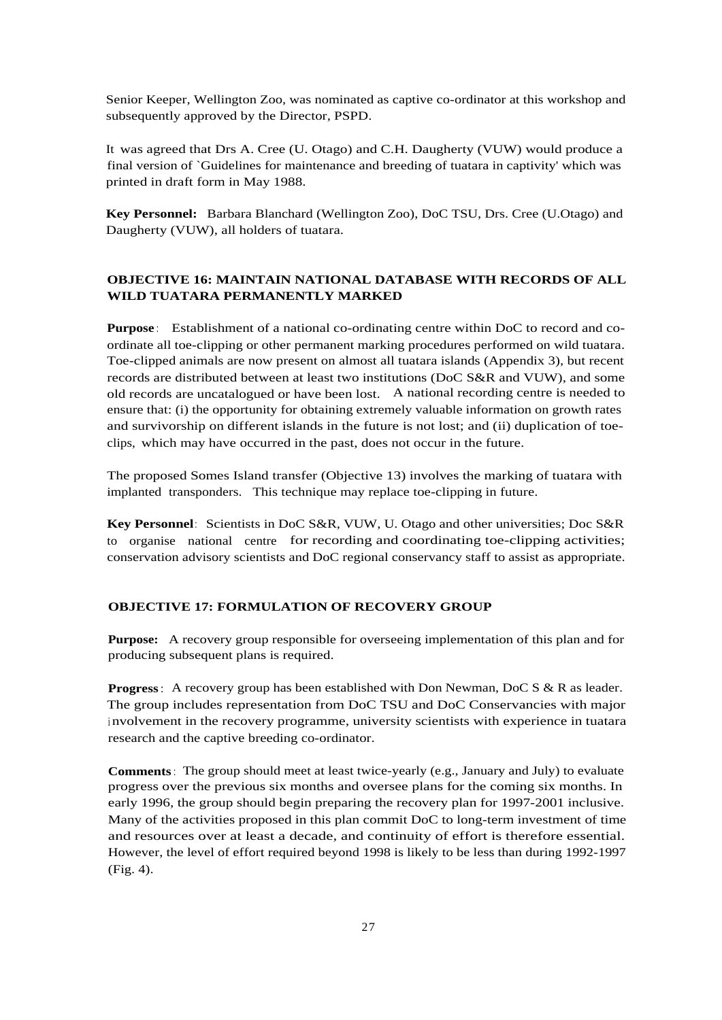Senior Keeper, Wellington Zoo, was nominated as captive co-ordinator at this workshop and subsequently approved by the Director, PSPD.

It was agreed that Drs A. Cree (U. Otago) and C.H. Daugherty (VUW) would produce a final version of `Guidelines for maintenance and breeding of tuatara in captivity' which was printed in draft form in May 1988.

**Key Personnel:** Barbara Blanchard (Wellington Zoo), DoC TSU, Drs. Cree (U.Otago) and Daugherty (VUW), all holders of tuatara.

#### **OBJECTIVE 16: MAINTAIN NATIONAL DATABASE WITH RECORDS OF ALL WILD TUATARA PERMANENTLY MARKED**

**Purpose**: Establishment of a national co-ordinating centre within DoC to record and coordinate all toe-clipping or other permanent marking procedures performed on wild tuatara. Toe-clipped animals are now present on almost all tuatara islands (Appendix 3), but recent records are distributed between at least two institutions (DoC S&R and VUW), and some old records are uncatalogued or have been lost. A national recording centre is needed to ensure that: (i) the opportunity for obtaining extremely valuable information on growth rates and survivorship on different islands in the future is not lost; and (ii) duplication of toeclips, which may have occurred in the past, does not occur in the future.

The proposed Somes Island transfer (Objective 13) involves the marking of tuatara with implanted transponders. This technique may replace toe-clipping in future.

**Key Personnel**: Scientists in DoC S&R, VUW, U. Otago and other universities; Doc S&R to organise national centre for recording and coordinating toe-clipping activities; conservation advisory scientists and DoC regional conservancy staff to assist as appropriate.

#### **OBJECTIVE 17: FORMULATION OF RECOVERY GROUP**

**Purpose:** A recovery group responsible for overseeing implementation of this plan and for producing subsequent plans is required.

**Progress**: A recovery group has been established with Don Newman, DoC S & R as leader. The group includes representation from DoC TSU and DoC Conservancies with major <sup>i</sup> nvolvement in the recovery programme, university scientists with experience in tuatara research and the captive breeding co-ordinator.

**Comments**: The group should meet at least twice-yearly (e.g., January and July) to evaluate progress over the previous six months and oversee plans for the coming six months. In early 1996, the group should begin preparing the recovery plan for 1997-2001 inclusive. Many of the activities proposed in this plan commit DoC to long-term investment of time and resources over at least a decade, and continuity of effort is therefore essential. However, the level of effort required beyond 1998 is likely to be less than during 1992-1997 (Fig. 4).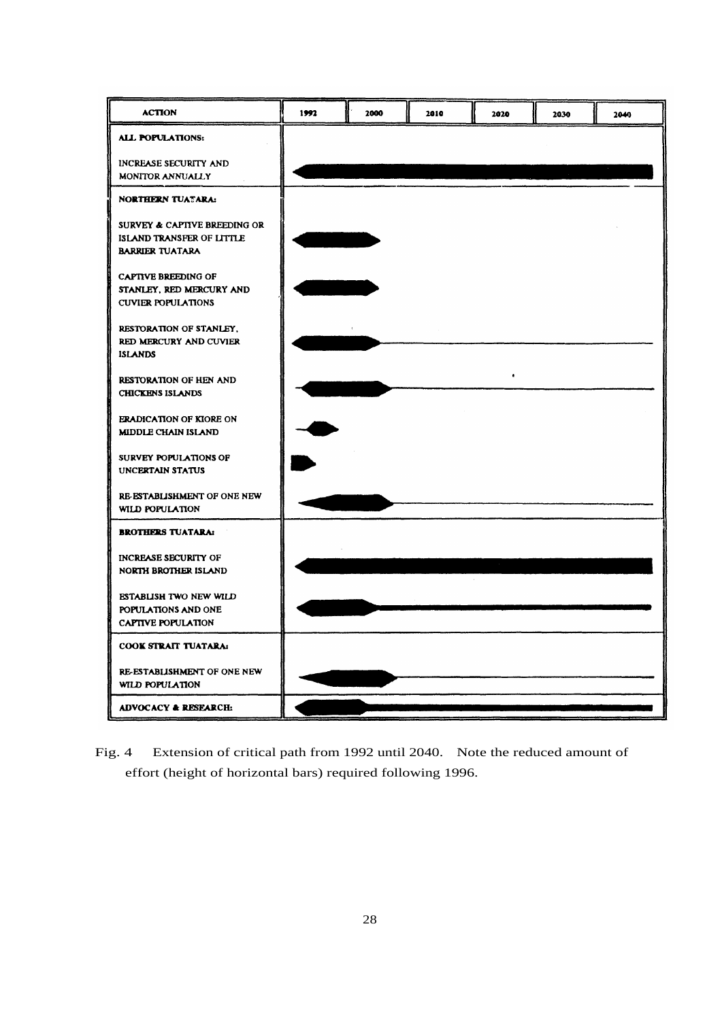| <b>ACTION</b>                                                                       | 1992 | 2000 | 2010 | 2020 | 2030 | 2040 |
|-------------------------------------------------------------------------------------|------|------|------|------|------|------|
| <b>ALL POPULATIONS:</b>                                                             |      |      |      |      |      |      |
| INCREASE SECURITY AND<br>MONITOR ANNUALLY                                           |      |      |      |      |      |      |
| NORTHERN TUATARA:                                                                   |      |      |      |      |      |      |
| SURVEY & CAPITVE BREEDING OR<br>ISLAND TRANSFER OF LITTLE<br><b>BARRIER TUATARA</b> |      |      |      |      |      |      |
| <b>CAPTIVE BREEDING OF</b><br>STANLEY, RED MERCURY AND<br><b>CUVIER POPULATIONS</b> |      |      |      |      |      |      |
| RESTORATION OF STANLEY.<br>RED MERCURY AND CUVIER<br><b>ISLANDS</b>                 |      |      |      |      |      |      |
| RESTORATION OF HEN AND<br><b>CHICKENS ISLANDS</b>                                   |      |      |      |      |      |      |
| <b>ERADICATION OF KIORE ON</b><br><b>MIDDLE CHAIN ISLAND</b>                        |      |      |      |      |      |      |
| SURVEY POPULATIONS OF<br>UNCERTAIN STATUS                                           |      |      |      |      |      |      |
| RE-ESTABLISHMENT OF ONE NEW<br>WILD POPULATION                                      |      |      |      |      |      |      |
| <b>BROTHERS TUATARA:</b>                                                            |      |      |      |      |      |      |
| INCREASE SECURITY OF<br>NORTH BROTHER ISLAND                                        |      |      |      |      |      |      |
| ESTABLISH TWO NEW WILD<br>POPULATIONS AND ONE<br>CAPTIVE POPULATION                 |      |      |      |      |      |      |
| COOK STRAIT TUATARA:                                                                |      |      |      |      |      |      |
| RE-ESTABLISHMENT OF ONE NEW<br>WILD POPULATION                                      |      |      |      |      |      |      |
| <b>ADVOCACY &amp; RESEARCH:</b>                                                     |      |      |      |      |      |      |

Fig. 4 Extension of critical path from 1992 until 2040. Note the reduced amount of effort (height of horizontal bars) required following 1996.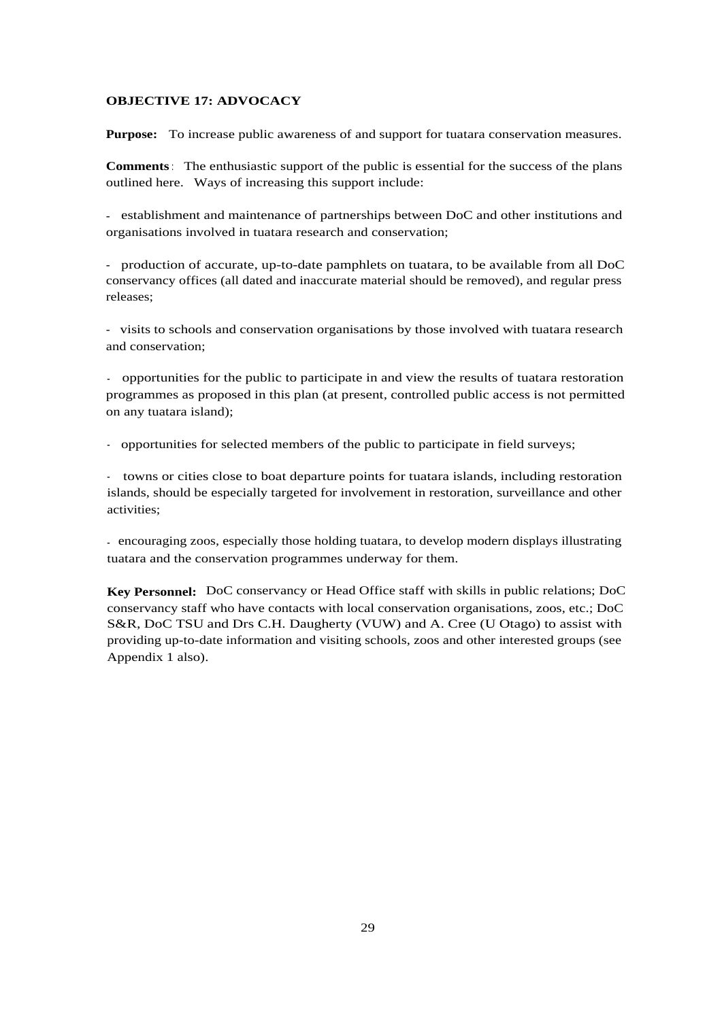#### **OBJECTIVE 17: ADVOCACY**

**Purpose:** To increase public awareness of and support for tuatara conservation measures.

**Comments**: The enthusiastic support of the public is essential for the success of the plans outlined here. Ways of increasing this support include:

- establishment and maintenance of partnerships between DoC and other institutions and organisations involved in tuatara research and conservation;

- production of accurate, up-to-date pamphlets on tuatara, to be available from all DoC conservancy offices (all dated and inaccurate material should be removed), and regular press releases;

- visits to schools and conservation organisations by those involved with tuatara research and conservation;

- opportunities for the public to participate in and view the results of tuatara restoration programmes as proposed in this plan (at present, controlled public access is not permitted on any tuatara island);

- opportunities for selected members of the public to participate in field surveys;

- towns or cities close to boat departure points for tuatara islands, including restoration islands, should be especially targeted for involvement in restoration, surveillance and other activities;

- encouraging zoos, especially those holding tuatara, to develop modern displays illustrating tuatara and the conservation programmes underway for them.

**Key Personnel:** DoC conservancy or Head Office staff with skills in public relations; DoC conservancy staff who have contacts with local conservation organisations, zoos, etc.; DoC S&R, DoC TSU and Drs C.H. Daugherty (VUW) and A. Cree (U Otago) to assist with providing up-to-date information and visiting schools, zoos and other interested groups (see Appendix 1 also).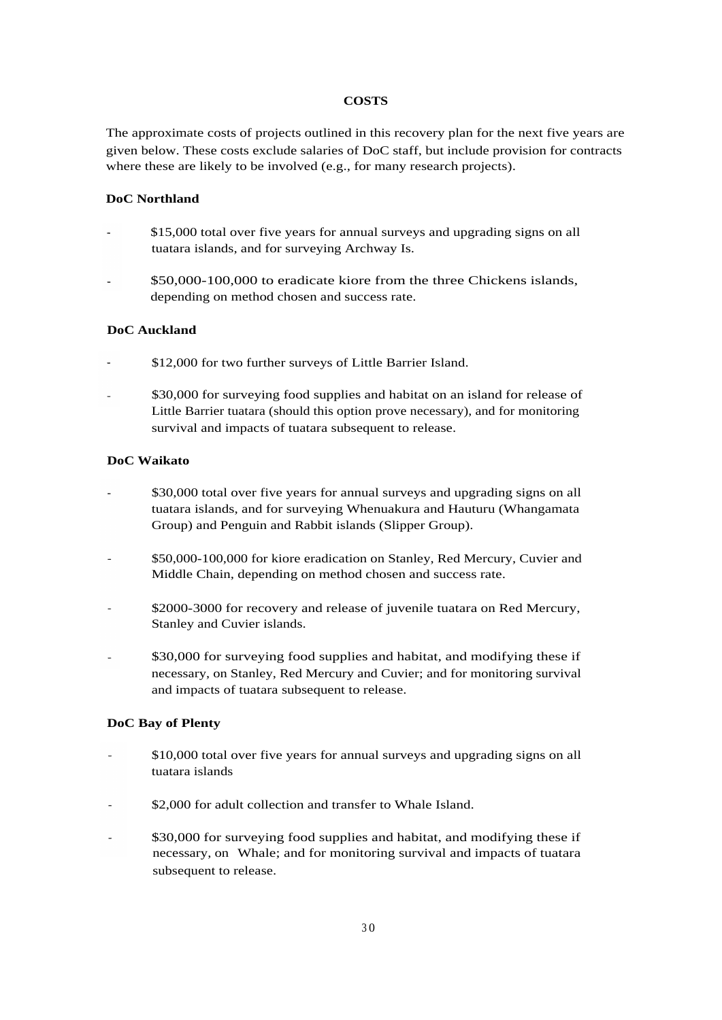#### **COSTS**

The approximate costs of projects outlined in this recovery plan for the next five years are given below. These costs exclude salaries of DoC staff, but include provision for contracts where these are likely to be involved (e.g., for many research projects).

#### **DoC Northland**

- \$15,000 total over five years for annual surveys and upgrading signs on all tuatara islands, and for surveying Archway Is.
- \$50,000-100,000 to eradicate kiore from the three Chickens islands, depending on method chosen and success rate.

#### **DoC Auckland**

- \$12,000 for two further surveys of Little Barrier Island.
- \$30,000 for surveying food supplies and habitat on an island for release of Little Barrier tuatara (should this option prove necessary), and for monitoring survival and impacts of tuatara subsequent to release.

#### **DoC Waikato**

- \$30,000 total over five years for annual surveys and upgrading signs on all tuatara islands, and for surveying Whenuakura and Hauturu (Whangamata Group) and Penguin and Rabbit islands (Slipper Group).
- \$50,000-100,000 for kiore eradication on Stanley, Red Mercury, Cuvier and Middle Chain, depending on method chosen and success rate.
- \$2000-3000 for recovery and release of juvenile tuatara on Red Mercury, Stanley and Cuvier islands.
- \$30,000 for surveying food supplies and habitat, and modifying these if necessary, on Stanley, Red Mercury and Cuvier; and for monitoring survival and impacts of tuatara subsequent to release.

## **DoC Bay of Plenty**

- \$10,000 total over five years for annual surveys and upgrading signs on all tuatara islands
- \$2,000 for adult collection and transfer to Whale Island. L.
- \$30,000 for surveying food supplies and habitat, and modifying these if  $\tilde{\phantom{a}}$ necessary, on Whale; and for monitoring survival and impacts of tuatara subsequent to release.